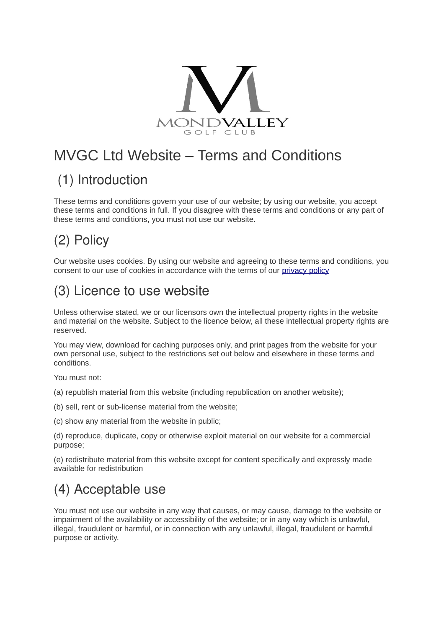

# MVGC Ltd Website – Terms and Conditions

## (1) Introduction

These terms and conditions govern your use of our website; by using our website, you accept these terms and conditions in full. If you disagree with these terms and conditions or any part of these terms and conditions, you must not use our website.

# (2) Policy

Our website uses cookies. By using our website and agreeing to these terms and conditions, you consent to our use of cookies in accordance with the terms of our [privacy policy](http://www.stmellonsgolfclub.co.uk/policy.aspx)

## (3) Licence to use website

Unless otherwise stated, we or our licensors own the intellectual property rights in the website and material on the website. Subject to the licence below, all these intellectual property rights are reserved.

You may view, download for caching purposes only, and print pages from the website for your own personal use, subject to the restrictions set out below and elsewhere in these terms and conditions.

You must not:

(a) republish material from this website (including republication on another website);

(b) sell, rent or sub-license material from the website;

(c) show any material from the website in public;

(d) reproduce, duplicate, copy or otherwise exploit material on our website for a commercial purpose;

(e) redistribute material from this website except for content specifically and expressly made available for redistribution

#### (4) Acceptable use

You must not use our website in any way that causes, or may cause, damage to the website or impairment of the availability or accessibility of the website; or in any way which is unlawful, illegal, fraudulent or harmful, or in connection with any unlawful, illegal, fraudulent or harmful purpose or activity.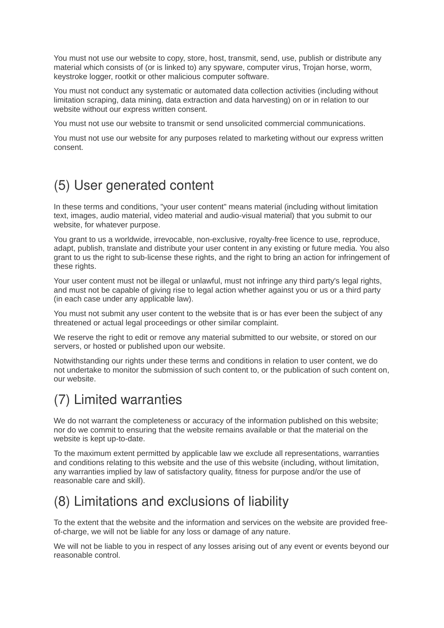You must not use our website to copy, store, host, transmit, send, use, publish or distribute any material which consists of (or is linked to) any spyware, computer virus, Trojan horse, worm, keystroke logger, rootkit or other malicious computer software.

You must not conduct any systematic or automated data collection activities (including without limitation scraping, data mining, data extraction and data harvesting) on or in relation to our website without our express written consent.

You must not use our website to transmit or send unsolicited commercial communications.

You must not use our website for any purposes related to marketing without our express written consent.

#### (5) User generated content

In these terms and conditions, "your user content" means material (including without limitation text, images, audio material, video material and audio-visual material) that you submit to our website, for whatever purpose.

You grant to us a worldwide, irrevocable, non-exclusive, royalty-free licence to use, reproduce, adapt, publish, translate and distribute your user content in any existing or future media. You also grant to us the right to sub-license these rights, and the right to bring an action for infringement of these rights.

Your user content must not be illegal or unlawful, must not infringe any third party's legal rights, and must not be capable of giving rise to legal action whether against you or us or a third party (in each case under any applicable law).

You must not submit any user content to the website that is or has ever been the subject of any threatened or actual legal proceedings or other similar complaint.

We reserve the right to edit or remove any material submitted to our website, or stored on our servers, or hosted or published upon our website.

Notwithstanding our rights under these terms and conditions in relation to user content, we do not undertake to monitor the submission of such content to, or the publication of such content on, our website.

## (7) Limited warranties

We do not warrant the completeness or accuracy of the information published on this website; nor do we commit to ensuring that the website remains available or that the material on the website is kept up-to-date.

To the maximum extent permitted by applicable law we exclude all representations, warranties and conditions relating to this website and the use of this website (including, without limitation, any warranties implied by law of satisfactory quality, fitness for purpose and/or the use of reasonable care and skill).

#### (8) Limitations and exclusions of liability

To the extent that the website and the information and services on the website are provided freeof-charge, we will not be liable for any loss or damage of any nature.

We will not be liable to you in respect of any losses arising out of any event or events beyond our reasonable control.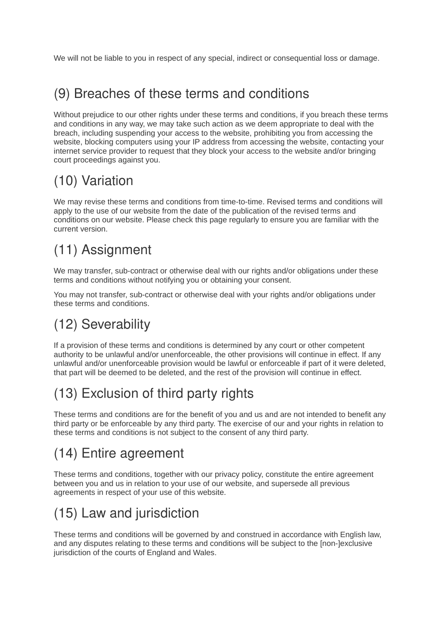We will not be liable to you in respect of any special, indirect or consequential loss or damage.

#### (9) Breaches of these terms and conditions

Without prejudice to our other rights under these terms and conditions, if you breach these terms and conditions in any way, we may take such action as we deem appropriate to deal with the breach, including suspending your access to the website, prohibiting you from accessing the website, blocking computers using your IP address from accessing the website, contacting your internet service provider to request that they block your access to the website and/or bringing court proceedings against you.

## (10) Variation

We may revise these terms and conditions from time-to-time. Revised terms and conditions will apply to the use of our website from the date of the publication of the revised terms and conditions on our website. Please check this page regularly to ensure you are familiar with the current version.

# (11) Assignment

We may transfer, sub-contract or otherwise deal with our rights and/or obligations under these terms and conditions without notifying you or obtaining your consent.

You may not transfer, sub-contract or otherwise deal with your rights and/or obligations under these terms and conditions.

## (12) Severability

If a provision of these terms and conditions is determined by any court or other competent authority to be unlawful and/or unenforceable, the other provisions will continue in effect. If any unlawful and/or unenforceable provision would be lawful or enforceable if part of it were deleted, that part will be deemed to be deleted, and the rest of the provision will continue in effect.

# (13) Exclusion of third party rights

These terms and conditions are for the benefit of you and us and are not intended to benefit any third party or be enforceable by any third party. The exercise of our and your rights in relation to these terms and conditions is not subject to the consent of any third party.

# (14) Entire agreement

These terms and conditions, together with our privacy policy, constitute the entire agreement between you and us in relation to your use of our website, and supersede all previous agreements in respect of your use of this website.

# (15) Law and jurisdiction

These terms and conditions will be governed by and construed in accordance with English law, and any disputes relating to these terms and conditions will be subject to the [non-]exclusive jurisdiction of the courts of England and Wales.